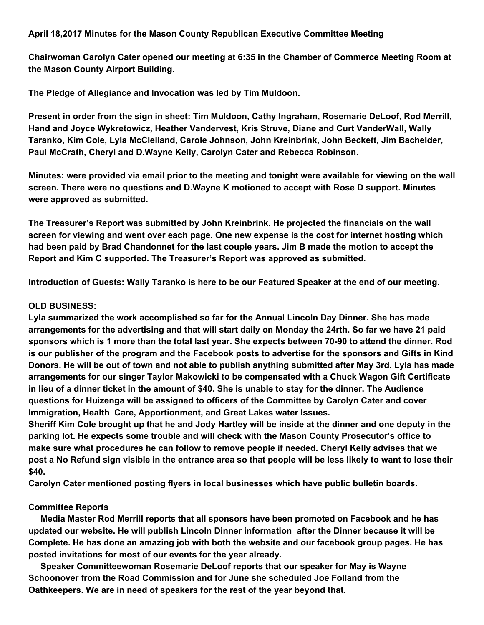## **April 18,2017 Minutes for the Mason County Republican Executive Committee Meeting**

**Chairwoman Carolyn Cater opened our meeting at 6:35 in the Chamber of Commerce Meeting Room at the Mason County Airport Building.**

**The Pledge of Allegiance and Invocation was led by Tim Muldoon.**

**Present in order from the sign in sheet: Tim Muldoon, Cathy Ingraham, Rosemarie DeLoof, Rod Merrill, Hand and Joyce Wykretowicz, Heather Vandervest, Kris Struve, Diane and Curt VanderWall, Wally Taranko, Kim Cole, Lyla McClelland, Carole Johnson, John Kreinbrink, John Beckett, Jim Bachelder, Paul McCrath, Cheryl and D.Wayne Kelly, Carolyn Cater and Rebecca Robinson.**

Minutes: were provided via email prior to the meeting and tonight were available for viewing on the wall **screen. There were no questions and D.Wayne K motioned to accept with Rose D support. Minutes were approved as submitted.**

**The Treasurer's Report was submitted by John Kreinbrink. He projected the financials on the wall screen for viewing and went over each page. One new expense is the cost for internet hosting which** had been paid by Brad Chandonnet for the last couple years. Jim B made the motion to accept the **Report and Kim C supported. The Treasurer's Report was approved as submitted.**

Introduction of Guests: Wally Taranko is here to be our Featured Speaker at the end of our meeting.

## **OLD BUSINESS:**

**Lyla summarized the work accomplished so far for the Annual Lincoln Day Dinner. She has made** arrangements for the advertising and that will start daily on Monday the 24rth. So far we have 21 paid sponsors which is 1 more than the total last year. She expects between 70-90 to attend the dinner. Rod is our publisher of the program and the Facebook posts to advertise for the sponsors and Gifts in Kind Donors. He will be out of town and not able to publish anything submitted after May 3rd. Lyla has made **arrangements for our singer Taylor Makowicki to be compensated with a Chuck Wagon Gift Certificate** in lieu of a dinner ticket in the amount of \$40. She is unable to stay for the dinner. The Audience **questions for Huizenga will be assigned to officers of the Committee by Carolyn Cater and cover Immigration, Health Care, Apportionment, and Great Lakes water Issues.**

Sheriff Kim Cole brought up that he and Jody Hartley will be inside at the dinner and one deputy in the **parking lot. He expects some trouble and will check with the Mason County Prosecutor's office to make sure what procedures he can follow to remove people if needed. Cheryl Kelly advises that we** post a No Refund sign visible in the entrance area so that people will be less likely to want to lose their **\$40.**

**Carolyn Cater mentioned posting flyers in local businesses which have public bulletin boards.**

## **Committee Reports**

**Media Master Rod Merrill reports that all sponsors have been promoted on Facebook and he has updated our website. He will publish Lincoln Dinner information after the Dinner because it will be Complete. He has done an amazing job with both the website and our facebook group pages. He has posted invitations for most of our events for the year already.**

**Speaker Committeewoman Rosemarie DeLoof reports that our speaker for May is Wayne Schoonover from the Road Commission and for June she scheduled Joe Folland from the Oathkeepers. We are in need of speakers for the rest of the year beyond that.**